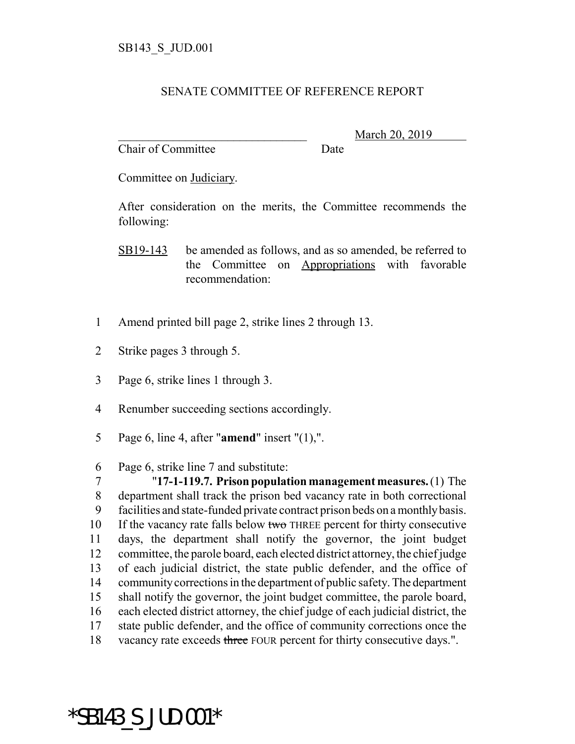## SENATE COMMITTEE OF REFERENCE REPORT

Chair of Committee Date

March 20, 2019

Committee on Judiciary.

After consideration on the merits, the Committee recommends the following:

SB19-143 be amended as follows, and as so amended, be referred to the Committee on Appropriations with favorable recommendation:

- 1 Amend printed bill page 2, strike lines 2 through 13.
- 2 Strike pages 3 through 5.
- 3 Page 6, strike lines 1 through 3.
- 4 Renumber succeeding sections accordingly.
- 5 Page 6, line 4, after "**amend**" insert "(1),".
- 6 Page 6, strike line 7 and substitute:

 "**17-1-119.7. Prison population management measures.** (1) The department shall track the prison bed vacancy rate in both correctional facilities and state-funded private contract prison beds on a monthly basis. 10 If the vacancy rate falls below two THREE percent for thirty consecutive days, the department shall notify the governor, the joint budget committee, the parole board, each elected district attorney, the chief judge of each judicial district, the state public defender, and the office of community corrections in the department of public safety. The department shall notify the governor, the joint budget committee, the parole board, each elected district attorney, the chief judge of each judicial district, the state public defender, and the office of community corrections once the 18 vacancy rate exceeds three FOUR percent for thirty consecutive days.".

\*SB143\_S\_JUD.001\*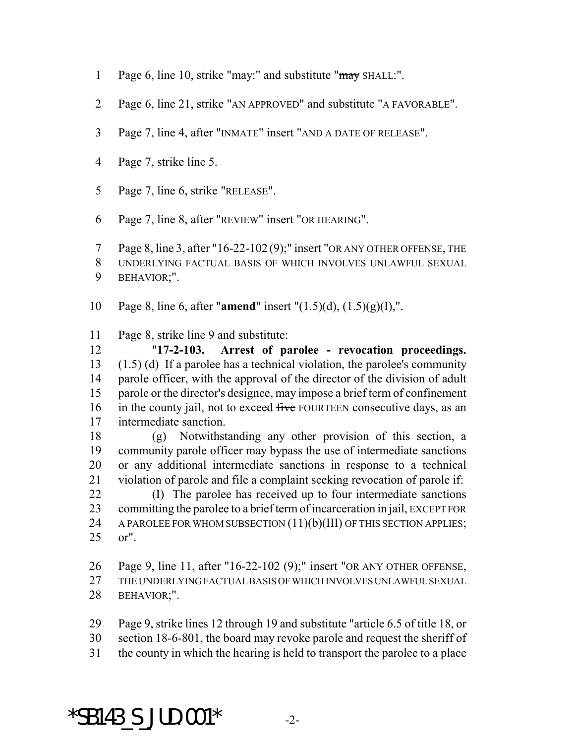- Page 6, line 10, strike "may:" and substitute "may SHALL:".
- Page 6, line 21, strike "AN APPROVED" and substitute "A FAVORABLE".
- Page 7, line 4, after "INMATE" insert "AND A DATE OF RELEASE".
- Page 7, strike line 5.
- Page 7, line 6, strike "RELEASE".
- Page 7, line 8, after "REVIEW" insert "OR HEARING".

 Page 8, line 3, after "16-22-102 (9);" insert "OR ANY OTHER OFFENSE, THE UNDERLYING FACTUAL BASIS OF WHICH INVOLVES UNLAWFUL SEXUAL BEHAVIOR;".

Page 8, line 6, after "**amend**" insert "(1.5)(d), (1.5)(g)(I),".

Page 8, strike line 9 and substitute:

 "**17-2-103. Arrest of parolee - revocation proceedings.** (1.5) (d) If a parolee has a technical violation, the parolee's community parole officer, with the approval of the director of the division of adult parole or the director's designee, may impose a brief term of confinement 16 in the county jail, not to exceed five FOURTEEN consecutive days, as an intermediate sanction.

 (g) Notwithstanding any other provision of this section, a community parole officer may bypass the use of intermediate sanctions or any additional intermediate sanctions in response to a technical violation of parole and file a complaint seeking revocation of parole if:

 (I) The parolee has received up to four intermediate sanctions committing the parolee to a brief term of incarceration in jail, EXCEPT FOR 24 A PAROLEE FOR WHOM SUBSECTION (11)(b)(III) OF THIS SECTION APPLIES; or".

Page 9, line 11, after "16-22-102 (9);" insert "OR ANY OTHER OFFENSE,

 THE UNDERLYING FACTUAL BASIS OF WHICH INVOLVES UNLAWFUL SEXUAL BEHAVIOR;".

Page 9, strike lines 12 through 19 and substitute "article 6.5 of title 18, or

section 18-6-801, the board may revoke parole and request the sheriff of

the county in which the hearing is held to transport the parolee to a place

\*SB143 S JUD.001\*  $-2$ -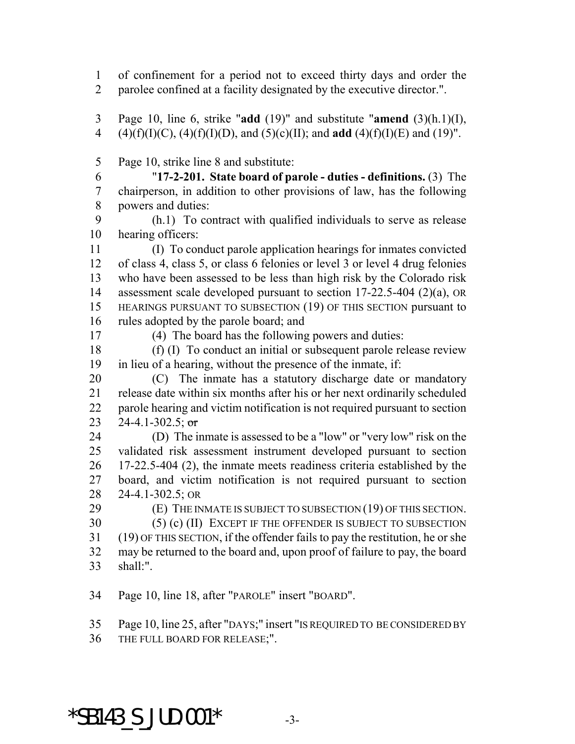of confinement for a period not to exceed thirty days and order the parolee confined at a facility designated by the executive director.".

 Page 10, line 6, strike "**add** (19)" and substitute "**amend** (3)(h.1)(I), 4 (4)(f)(I)(C), (4)(f)(I)(D), and (5)(c)(II); and **add** (4)(f)(I)(E) and (19)".

Page 10, strike line 8 and substitute:

 "**17-2-201. State board of parole - duties - definitions.** (3) The chairperson, in addition to other provisions of law, has the following powers and duties:

 (h.1) To contract with qualified individuals to serve as release hearing officers:

 (I) To conduct parole application hearings for inmates convicted of class 4, class 5, or class 6 felonies or level 3 or level 4 drug felonies who have been assessed to be less than high risk by the Colorado risk assessment scale developed pursuant to section 17-22.5-404 (2)(a), OR HEARINGS PURSUANT TO SUBSECTION (19) OF THIS SECTION pursuant to rules adopted by the parole board; and

(4) The board has the following powers and duties:

 (f) (I) To conduct an initial or subsequent parole release review in lieu of a hearing, without the presence of the inmate, if:

 (C) The inmate has a statutory discharge date or mandatory release date within six months after his or her next ordinarily scheduled parole hearing and victim notification is not required pursuant to section 23 24-4.1-302.5; or

 (D) The inmate is assessed to be a "low" or "very low" risk on the validated risk assessment instrument developed pursuant to section 17-22.5-404 (2), the inmate meets readiness criteria established by the board, and victim notification is not required pursuant to section 24-4.1-302.5; OR

(E) THE INMATE IS SUBJECT TO SUBSECTION (19) OF THIS SECTION.

 (5) (c) (II) EXCEPT IF THE OFFENDER IS SUBJECT TO SUBSECTION (19) OF THIS SECTION, if the offender fails to pay the restitution, he or she may be returned to the board and, upon proof of failure to pay, the board

shall:".

Page 10, line 18, after "PAROLE" insert "BOARD".

Page 10, line 25, after "DAYS;" insert "IS REQUIRED TO BE CONSIDERED BY

THE FULL BOARD FOR RELEASE;".

\*SB143 S JUD.001\*  $-3$ -